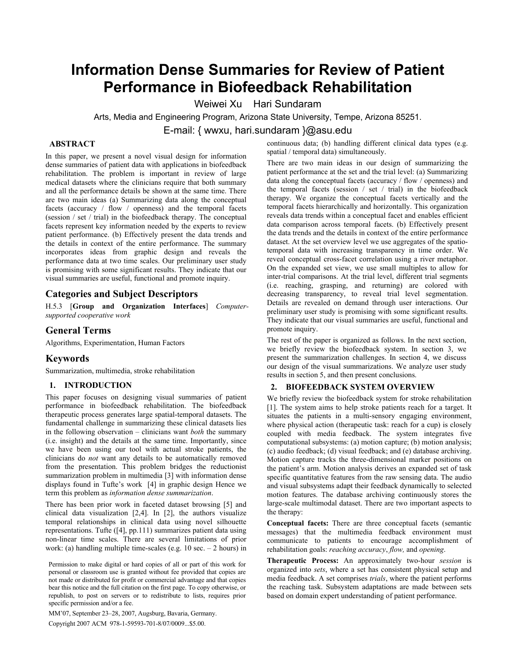# **Information Dense Summaries for Review of Patient Performance in Biofeedback Rehabilitation**

Weiwei Xu Hari Sundaram

Arts, Media and Engineering Program, Arizona State University, Tempe, Arizona 85251.

E-mail: { wwxu, hari.sundaram }@asu.edu

## **ABSTRACT**

In this paper, we present a novel visual design for information dense summaries of patient data with applications in biofeedback rehabilitation. The problem is important in review of large medical datasets where the clinicians require that both summary and all the performance details be shown at the same time. There are two main ideas (a) Summarizing data along the conceptual facets (accuracy / flow / openness) and the temporal facets (session / set / trial) in the biofeedback therapy. The conceptual facets represent key information needed by the experts to review patient performance. (b) Effectively present the data trends and the details in context of the entire performance. The summary incorporates ideas from graphic design and reveals the performance data at two time scales. Our preliminary user study is promising with some significant results. They indicate that our visual summaries are useful, functional and promote inquiry.

## **Categories and Subject Descriptors**

H.5.3 [**Group and Organization Interfaces**] *Computersupported cooperative work*

# **General Terms**

Algorithms, Experimentation, Human Factors

## **Keywords**

Summarization, multimedia, stroke rehabilitation

## **1. INTRODUCTION**

This paper focuses on designing visual summaries of patient performance in biofeedback rehabilitation. The biofeedback therapeutic process generates large spatial-temporal datasets. The fundamental challenge in summarizing these clinical datasets lies in the following observation – clinicians want *both* the summary (i.e. insight) and the details at the same time. Importantly, since we have been using our tool with actual stroke patients, the clinicians do *not* want any details to be automatically removed from the presentation. This problem bridges the reductionist summarization problem in multimedia [3] with information dense displays found in Tufte's work [4] in graphic design Hence we term this problem as *information dense summarization*.

There has been prior work in faceted dataset browsing [5] and clinical data visualization [2,4]. In [2], the authors visualize temporal relationships in clinical data using novel silhouette representations. Tufte ([4], pp.111) summarizes patient data using non-linear time scales. There are several limitations of prior work: (a) handling multiple time-scales (e.g. 10 sec. – 2 hours) in

MM'07, September 23–28, 2007, Augsburg, Bavaria, Germany.

Copyright 2007 ACM 978-1-59593-701-8/07/0009...\$5.00.

continuous data; (b) handling different clinical data types (e.g. spatial / temporal data) simultaneously.

There are two main ideas in our design of summarizing the patient performance at the set and the trial level: (a) Summarizing data along the conceptual facets (accuracy / flow / openness) and the temporal facets (session / set / trial) in the biofeedback therapy. We organize the conceptual facets vertically and the temporal facets hierarchically and horizontally. This organization reveals data trends within a conceptual facet and enables efficient data comparison across temporal facets. (b) Effectively present the data trends and the details in context of the entire performance dataset. At the set overview level we use aggregates of the spatiotemporal data with increasing transparency in time order. We reveal conceptual cross-facet correlation using a river metaphor. On the expanded set view, we use small multiples to allow for inter-trial comparisons. At the trial level, different trial segments (i.e. reaching, grasping, and returning) are colored with decreasing transparency, to reveal trial level segmentation. Details are revealed on demand through user interactions. Our preliminary user study is promising with some significant results. They indicate that our visual summaries are useful, functional and promote inquiry.

The rest of the paper is organized as follows. In the next section, we briefly review the biofeedback system. In section 3, we present the summarization challenges. In section 4, we discuss our design of the visual summarizations. We analyze user study results in section 5, and then present conclusions.

#### **2. BIOFEEDBACK SYSTEM OVERVIEW**

We briefly review the biofeedback system for stroke rehabilitation [1]. The system aims to help stroke patients reach for a target. It situates the patients in a multi-sensory engaging environment, where physical action (therapeutic task: reach for a cup) is closely coupled with media feedback. The system integrates five computational subsystems: (a) motion capture; (b) motion analysis; (c) audio feedback; (d) visual feedback; and (e) database archiving. Motion capture tracks the three-dimensional marker positions on the patient's arm. Motion analysis derives an expanded set of task specific quantitative features from the raw sensing data. The audio and visual subsystems adapt their feedback dynamically to selected motion features. The database archiving continuously stores the large-scale multimodal dataset. There are two important aspects to the therapy:

**Conceptual facets:** There are three conceptual facets (semantic messages) that the multimedia feedback environment must communicate to patients to encourage accomplishment of rehabilitation goals: *reaching accuracy*, *flow,* and *opening*.

**Therapeutic Process:** An approximately two-hour *session* is organized into *sets*, where a set has consistent physical setup and media feedback. A set comprises *trials*, where the patient performs the reaching task. Subsystem adaptations are made between sets based on domain expert understanding of patient performance.

Permission to make digital or hard copies of all or part of this work for personal or classroom use is granted without fee provided that copies are not made or distributed for profit or commercial advantage and that copies bear this notice and the full citation on the first page. To copy otherwise, or republish, to post on servers or to redistribute to lists, requires prior specific permission and/or a fee.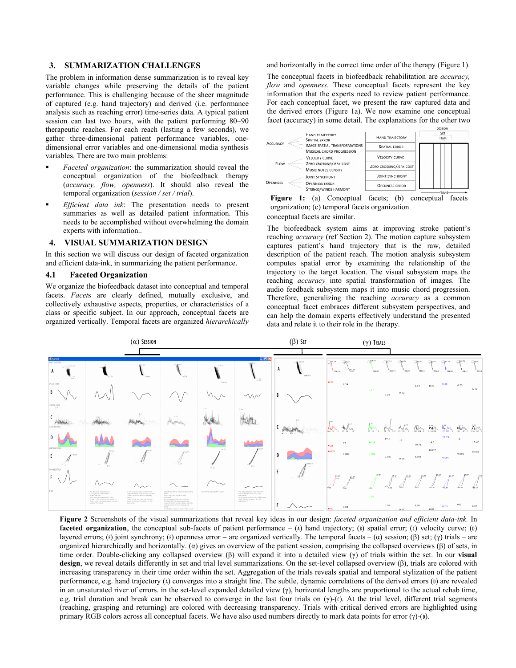### **3. SUMMARIZATION CHALLENGES**

The problem in information dense summarization is to reveal key variable changes while preserving the details of the patient performance. This is challenging because of the sheer magnitude of captured (e.g. hand trajectory) and derived (i.e. performance analysis such as reaching error) time-series data. A typical patient session can last two hours, with the patient performing 80~90 therapeutic reaches. For each reach (lasting a few seconds), we gather three-dimensional patient performance variables, onedimensional error variables and one-dimensional media synthesis variables. There are two main problems:

- *Faceted organization*: the summarization should reveal the conceptual organization of the biofeedback therapy (*accuracy, flow, openness*). It should also reveal the temporal organization (*session / set / trial*).
- *Efficient data ink*: The presentation needs to present summaries as well as detailed patient information. This needs to be accomplished without overwhelming the domain experts with information..

#### **4. VISUAL SUMMARIZATION DESIGN**

In this section we will discuss our design of faceted organization and efficient data-ink, in summarizing the patient performance.

#### **4.1 Faceted Organization**

We organize the biofeedback dataset into conceptual and temporal facets. *Facet*s are clearly defined, mutually exclusive, and collectively exhaustive aspects, properties, or characteristics of a class or specific subject. In our approach, conceptual facets are organized vertically. Temporal facets are organized *hierarchically* and horizontally in the correct time order of the therapy (Figure 1).

The conceptual facets in biofeedback rehabilitation are *accuracy, flow* and *openness.* These conceptual facets represent the key information that the experts need to review patient performance. For each conceptual facet, we present the raw captured data and the derived errors (Figure 1a). We now examine one conceptual facet (accuracy) in some detail. The explanations for the other two



Figure 1: (a) Conceptual facets; (b) conceptual facets organization; (c) temporal facets organization

conceptual facets are similar.

The biofeedback system aims at improving stroke patient's reaching *accuracy* (ref Section 2). The motion capture subsystem captures patient's hand trajectory that is the raw, detailed description of the patient reach. The motion analysis subsystem computes spatial error by examining the relationship of the trajectory to the target location. The visual subsystem maps the reaching *accuracy* into spatial transformation of images. The audio feedback subsystem maps it into music chord progression. Therefore, generalizing the reaching *accuracy* as a common conceptual facet embraces different subsystem perspectives, and can help the domain experts effectively understand the presented data and relate it to their role in the therapy.



**Figure 2** Screenshots of the visual summarizations that reveal key ideas in our design: *faceted organization and efficient data-ink.* In **faceted organization**, the conceptual sub-facets of patient performance – (A) hand trajectory; (s) spatial error; (t) velocity curve; (b) layered errors; (E) joint synchrony; (F) openness error **–** are organized vertically. The temporal facets – (α) session; (β) set; (γ) trials – are organized hierarchically and horizontally. (α) gives an overview of the patient session, comprising the collapsed overviews (β) of sets, in time order. Double-clicking any collapsed overview (β) will expand it into a detailed view (γ) of trials within the set. In our **visual design**, we reveal details differently in set and trial level summarizations. On the set-level collapsed overview (β), trials are colored with increasing transparency in their time order within the set. Aggregation of the trials reveals spatial and temporal stylization of the patient performance, e.g. hand trajectory ( $\alpha$ ) converges into a straight line. The subtle, dynamic correlations of the derived errors ( $\alpha$ ) are revealed in an unsaturated river of errors. in the set-level expanded detailed view  $(\gamma)$ , horizontal lengths are proportional to the actual rehab time, e.g. trial duration and break can be observed to converge in the last four trials on  $(\gamma)$ -(c). At the trial level, different trial segments (reaching, grasping and returning) are colored with decreasing transparency. Trials with critical derived errors are highlighted using primary RGB colors across all conceptual facets. We have also used numbers directly to mark data points for error (γ)-(D).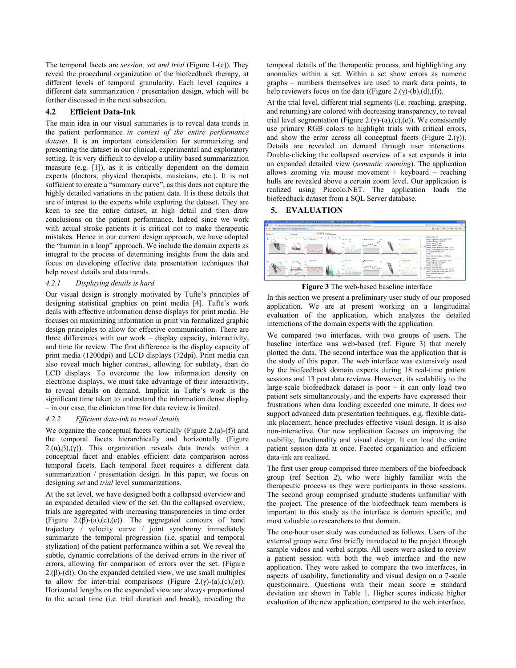The temporal facets are *session, set and trial* (Figure 1-(c)). They reveal the procedural organization of the biofeedback therapy, at different levels of temporal granularity. Each level requires a different data summarization / presentation design, which will be further discussed in the next subsection.

## **4.2 Efficient Data-Ink**

The main idea in our visual summaries is to reveal data trends in the patient performance *in context of the entire performance dataset.* It is an important consideration for summarizing and presenting the dataset in our clinical, experimental and exploratory setting. It is very difficult to develop a utility based summarization measure (e.g. [1]), as it is critically dependent on the domain experts (doctors, physical therapists, musicians, etc.). It is not sufficient to create a "summary curve", as this does not capture the highly detailed variations in the patient data. It is these details that are of interest to the experts while exploring the dataset. They are keen to see the entire dataset, at high detail and then draw conclusions on the patient performance. Indeed since we work with actual stroke patients it is critical not to make therapeutic mistakes. Hence in our current design approach, we have adopted the "human in a loop" approach. We include the domain experts as integral to the process of determining insights from the data and focus on developing effective data presentation techniques that help reveal details and data trends.

#### *4.2.1 Displaying details is hard*

Our visual design is strongly motivated by Tufte's principles of designing statistical graphics on print media [4]. Tufte's work deals with effective information dense displays for print media. He focuses on maximizing information in print via formalized graphic design principles to allow for effective communication. There are three differences with our work – display capacity, interactivity, and time for review. The first difference is the display capacity of print media (1200dpi) and LCD displays (72dpi). Print media can also reveal much higher contrast, allowing for subtlety, than do LCD displays. To overcome the low information density on electronic displays, we must take advantage of their interactivity, to reveal details on demand. Implicit in Tufte's work is the significant time taken to understand the information dense display – in our case, the clinician time for data review is limited.

#### *4.2.2 Efficient data-ink to reveal details*

We organize the conceptual facets vertically (Figure 2.(a)-(f)) and the temporal facets hierarchically and horizontally (Figure  $2(\alpha),\beta,(\gamma)$ ). This organization reveals data trends within a conceptual facet and enables efficient data comparison across temporal facets. Each temporal facet requires a different data summarization / presentation design. In this paper, we focus on designing *set* and *trial* level summarizations.

At the set level, we have designed both a collapsed overview and an expanded detailed view of the set. On the collapsed overview, trials are aggregated with increasing transparencies in time order (Figure 2.( $\beta$ )-(a),(c),(e)). The aggregated contours of hand trajectory / velocity curve / joint synchrony immediately summarize the temporal progression (i.e. spatial and temporal stylization) of the patient performance within a set. We reveal the subtle, dynamic correlations of the derived errors in the river of errors, allowing for comparison of errors over the set. (Figure  $2.(\beta)-(d)$ ). On the expanded detailed view, we use small multiples to allow for inter-trial comparisons (Figure 2.(γ)-(a),(c),(e)). Horizontal lengths on the expanded view are always proportional to the actual time (i.e. trial duration and break), revealing the

temporal details of the therapeutic process, and highlighting any anomalies within a set. Within a set show errors as numeric graphs – numbers themselves are used to mark data points, to help reviewers focus on the data ((Figure 2.(γ)-(b),(d),(f)).

At the trial level, different trial segments (i.e. reaching, grasping, and returning) are colored with decreasing transparency, to reveal trial level segmentation (Figure 2.(γ)-(a),(c),(e)). We consistently use primary RGB colors to highlight trials with critical errors, and show the error across all conceptual facets (Figure 2.( $\gamma$ )). Details are revealed on demand through user interactions. Double-clicking the collapsed overview of a set expands it into an expanded detailed view (*semantic zooming*). The application allows zooming via mouse movement  $+$  keyboard  $-$  reaching hulls are revealed above a certain zoom level. Our application is realized using Piccolo.NET. The application loads the biofeedback dataset from a SQL Server database.

#### **5. EVALUATION**



**Figure 3** The web-based baseline interface

In this section we present a preliminary user study of our proposed application. We are at present working on a longitudinal evaluation of the application, which analyzes the detailed interactions of the domain experts with the application.

We compared two interfaces, with two groups of users. The baseline interface was web-based (ref. Figure 3) that merely plotted the data. The second interface was the application that is the study of this paper. The web interface was extensively used by the biofeedback domain experts during 18 real-time patient sessions and 13 post data reviews. However, its scalability to the large-scale biofeedback dataset is poor – it can only load two patient sets simultaneously, and the experts have expressed their frustrations when data loading exceeded one minute. It does *not* support advanced data presentation techniques, e.g. flexible dataink placement, hence precludes effective visual design. It is also non-interactive. Our new application focuses on improving the usability, functionality and visual design. It can load the entire patient session data at once. Faceted organization and efficient data-ink are realized.

The first user group comprised three members of the biofeedback group (ref Section 2), who were highly familiar with the therapeutic process as they were participants in those sessions. The second group comprised graduate students unfamiliar with the project. The presence of the biofeedback team members is important to this study as the interface is domain specific, and most valuable to researchers to that domain.

The one-hour user study was conducted as follows. Users of the external group were first briefly introduced to the project through sample videos and verbal scripts. All users were asked to review a patient session with both the web interface and the new application. They were asked to compare the two interfaces, in aspects of usability, functionality and visual design on a 7-scale questionnaire. Questions with their mean score **±** standard deviation are shown in Table 1. Higher scores indicate higher evaluation of the new application, compared to the web interface.